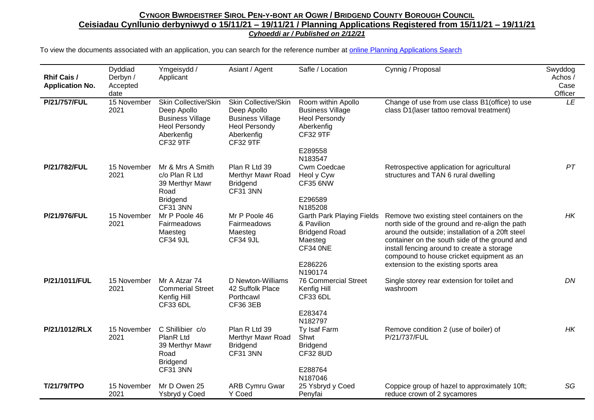| <b>Rhif Cais /</b><br><b>Application No.</b> | Dyddiad<br>Derbyn /<br>Accepted<br>date | Ymgeisydd /<br>Applicant                                                                                                | Asiant / Agent                                                                                                          | Safle / Location                                                                                                    | Cynnig / Proposal                                                                                                                                                                                                                                                                                                                      | Swyddog<br>Achos /<br>Case<br>Officer |
|----------------------------------------------|-----------------------------------------|-------------------------------------------------------------------------------------------------------------------------|-------------------------------------------------------------------------------------------------------------------------|---------------------------------------------------------------------------------------------------------------------|----------------------------------------------------------------------------------------------------------------------------------------------------------------------------------------------------------------------------------------------------------------------------------------------------------------------------------------|---------------------------------------|
| P/21/757/FUL                                 | 15 November<br>2021                     | Skin Collective/Skin<br>Deep Apollo<br><b>Business Village</b><br><b>Heol Persondy</b><br>Aberkenfig<br><b>CF32 9TF</b> | Skin Collective/Skin<br>Deep Apollo<br><b>Business Village</b><br><b>Heol Persondy</b><br>Aberkenfig<br><b>CF32 9TF</b> | Room within Apollo<br><b>Business Village</b><br><b>Heol Persondy</b><br>Aberkenfig<br><b>CF32 9TF</b><br>E289558   | Change of use from use class B1(office) to use<br>class D1(laser tattoo removal treatment)                                                                                                                                                                                                                                             | LE                                    |
| P/21/782/FUL                                 | 15 November<br>2021                     | Mr & Mrs A Smith<br>c/o Plan R Ltd<br>39 Merthyr Mawr<br>Road<br><b>Bridgend</b><br><b>CF31 3NN</b>                     | Plan R Ltd 39<br>Merthyr Mawr Road<br><b>Bridgend</b><br>CF31 3NN                                                       | N183547<br>Cwm Coedcae<br>Heol y Cyw<br><b>CF35 6NW</b><br>E296589<br>N185208                                       | Retrospective application for agricultural<br>structures and TAN 6 rural dwelling                                                                                                                                                                                                                                                      | PT                                    |
| P/21/976/FUL                                 | 15 November<br>2021                     | Mr P Poole 46<br>Fairmeadows<br>Maesteg<br><b>CF34 9JL</b>                                                              | Mr P Poole 46<br>Fairmeadows<br>Maesteg<br><b>CF34 9JL</b>                                                              | <b>Garth Park Playing Fields</b><br>& Pavilion<br><b>Bridgend Road</b><br>Maesteg<br>CF34 ONE<br>E286226<br>N190174 | Remove two existing steel containers on the<br>north side of the ground and re-align the path<br>around the outside; installation of a 20ft steel<br>container on the south side of the ground and<br>install fencing around to create a storage<br>compound to house cricket equipment as an<br>extension to the existing sports area | HK                                    |
| P/21/1011/FUL                                | 15 November<br>2021                     | Mr A Atzar 74<br><b>Commerial Street</b><br>Kenfig Hill<br><b>CF33 6DL</b>                                              | D Newton-Williams<br>42 Suffolk Place<br>Porthcawl<br><b>CF36 3EB</b>                                                   | <b>76 Commercial Street</b><br>Kenfig Hill<br><b>CF33 6DL</b><br>E283474<br>N182797                                 | Single storey rear extension for toilet and<br>washroom                                                                                                                                                                                                                                                                                | DN                                    |
| P/21/1012/RLX                                | 15 November<br>2021                     | C Shillibier c/o<br>PlanR Ltd<br>39 Merthyr Mawr<br>Road<br><b>Bridgend</b><br><b>CF31 3NN</b>                          | Plan R Ltd 39<br>Merthyr Mawr Road<br><b>Bridgend</b><br><b>CF31 3NN</b>                                                | Ty Isaf Farm<br>Shwt<br><b>Bridgend</b><br><b>CF32 8UD</b><br>E288764<br>N187046                                    | Remove condition 2 (use of boiler) of<br>P/21/737/FUL                                                                                                                                                                                                                                                                                  | HK                                    |
| T/21/79/TPO                                  | 15 November<br>2021                     | Mr D Owen 25<br>Ysbryd y Coed                                                                                           | <b>ARB Cymru Gwar</b><br>Y Coed                                                                                         | 25 Ysbryd y Coed<br>Penyfai                                                                                         | Coppice group of hazel to approximately 10ft;<br>reduce crown of 2 sycamores                                                                                                                                                                                                                                                           | SG                                    |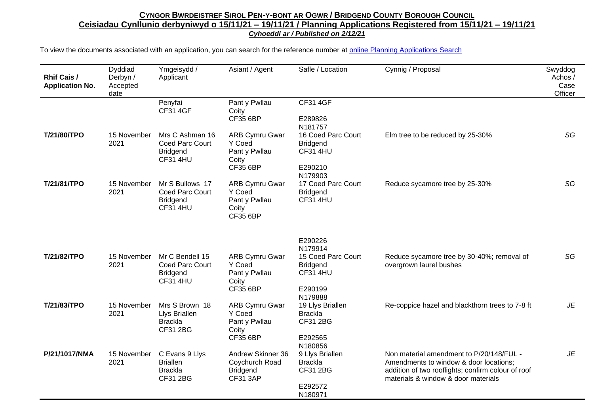| <b>Rhif Cais /</b><br><b>Application No.</b> | Dyddiad<br>Derbyn /<br>Accepted<br>date | Ymgeisydd /<br>Applicant                                                 | Asiant / Agent                                                               | Safle / Location                                                                                     | Cynnig / Proposal                                                                                                                                                               | Swyddog<br>Achos /<br>Case<br>Officer |
|----------------------------------------------|-----------------------------------------|--------------------------------------------------------------------------|------------------------------------------------------------------------------|------------------------------------------------------------------------------------------------------|---------------------------------------------------------------------------------------------------------------------------------------------------------------------------------|---------------------------------------|
|                                              |                                         | Penyfai<br><b>CF31 4GF</b>                                               | Pant y Pwllau<br>Coity<br><b>CF35 6BP</b>                                    | <b>CF31 4GF</b><br>E289826<br>N181757                                                                |                                                                                                                                                                                 |                                       |
| T/21/80/TPO                                  | 15 November<br>2021                     | Mrs C Ashman 16<br>Coed Parc Court<br><b>Bridgend</b><br><b>CF31 4HU</b> | <b>ARB Cymru Gwar</b><br>Y Coed<br>Pant y Pwllau<br>Coity<br><b>CF35 6BP</b> | 16 Coed Parc Court<br><b>Bridgend</b><br><b>CF31 4HU</b><br>E290210<br>N179903                       | Elm tree to be reduced by 25-30%                                                                                                                                                | SG                                    |
| T/21/81/TPO                                  | 15 November<br>2021                     | Mr S Bullows 17<br>Coed Parc Court<br><b>Bridgend</b><br><b>CF31 4HU</b> | <b>ARB Cymru Gwar</b><br>Y Coed<br>Pant y Pwllau<br>Coity<br><b>CF35 6BP</b> | 17 Coed Parc Court<br><b>Bridgend</b><br><b>CF31 4HU</b>                                             | Reduce sycamore tree by 25-30%                                                                                                                                                  | SG                                    |
| T/21/82/TPO                                  | 15 November<br>2021                     | Mr C Bendell 15<br>Coed Parc Court<br><b>Bridgend</b><br><b>CF31 4HU</b> | <b>ARB Cymru Gwar</b><br>Y Coed<br>Pant y Pwllau<br>Coity<br><b>CF35 6BP</b> | E290226<br>N179914<br>15 Coed Parc Court<br><b>Bridgend</b><br><b>CF31 4HU</b><br>E290199<br>N179888 | Reduce sycamore tree by 30-40%; removal of<br>overgrown laurel bushes                                                                                                           | SG                                    |
| T/21/83/TPO                                  | 15 November<br>2021                     | Mrs S Brown 18<br>Llys Briallen<br><b>Brackla</b><br>CF31 2BG            | <b>ARB Cymru Gwar</b><br>Y Coed<br>Pant y Pwllau<br>Coity<br><b>CF35 6BP</b> | 19 Llys Briallen<br><b>Brackla</b><br>CF31 2BG<br>E292565<br>N180856                                 | Re-coppice hazel and blackthorn trees to 7-8 ft                                                                                                                                 | JE                                    |
| P/21/1017/NMA                                | 15 November<br>2021                     | C Evans 9 Llys<br><b>Briallen</b><br><b>Brackla</b><br><b>CF31 2BG</b>   | Andrew Skinner 36<br>Coychurch Road<br><b>Bridgend</b><br><b>CF31 3AP</b>    | 9 Llys Briallen<br><b>Brackla</b><br>CF31 2BG<br>E292572<br>N180971                                  | Non material amendment to P/20/148/FUL -<br>Amendments to window & door locations;<br>addition of two rooflights; confirm colour of roof<br>materials & window & door materials | JE                                    |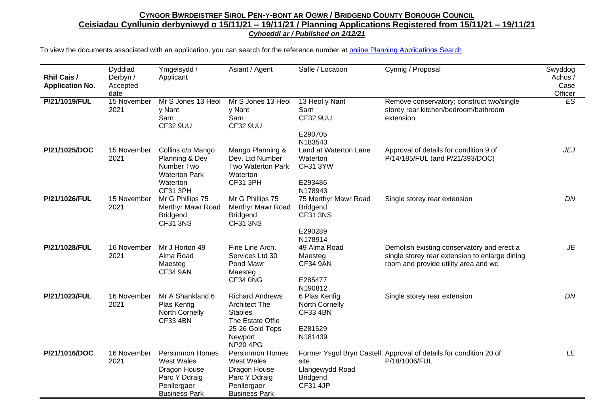| <b>Rhif Cais /</b><br><b>Application No.</b> | Dyddiad<br>Derbyn /<br>Accepted<br>date | Ymgeisydd /<br>Applicant                                                                                     | Asiant / Agent                                                                                                                        | Safle / Location                                                                 | Cynnig / Proposal                                                                                                                    | Swyddog<br>Achos /<br>Case<br>Officer |
|----------------------------------------------|-----------------------------------------|--------------------------------------------------------------------------------------------------------------|---------------------------------------------------------------------------------------------------------------------------------------|----------------------------------------------------------------------------------|--------------------------------------------------------------------------------------------------------------------------------------|---------------------------------------|
| P/21/1019/FUL                                | 15 November<br>2021                     | Mr S Jones 13 Heol<br>y Nant<br>Sarn<br><b>CF32 9UU</b>                                                      | Mr S Jones 13 Heol<br>y Nant<br>Sarn<br><b>CF32 9UU</b>                                                                               | 13 Heol y Nant<br>Sarn<br><b>CF32 9UU</b><br>E290705<br>N183543                  | Remove conservatory; construct two/single<br>storey rear kitchen/bedroom/bathroom<br>extension                                       | ES                                    |
| P/21/1025/DOC                                | 15 November<br>2021                     | Collins c/o Mango<br>Planning & Dev<br>Number Two<br><b>Waterton Park</b><br>Waterton<br><b>CF31 3PH</b>     | Mango Planning &<br>Dev. Ltd Number<br>Two Waterton Park<br>Waterton<br>CF31 3PH                                                      | Land at Waterton Lane<br>Waterton<br><b>CF31 3YW</b><br>E293486<br>N178943       | Approval of details for condition 9 of<br>P/14/185/FUL (and P/21/393/DOC)                                                            | JEJ                                   |
| P/21/1026/FUL                                | 15 November<br>2021                     | Mr G Phillips 75<br>Merthyr Mawr Road<br><b>Bridgend</b><br><b>CF31 3NS</b>                                  | Mr G Phillips 75<br>Merthyr Mawr Road<br><b>Bridgend</b><br><b>CF31 3NS</b>                                                           | 75 Merthyr Mawr Road<br><b>Bridgend</b><br><b>CF31 3NS</b><br>E290289<br>N178914 | Single storey rear extension                                                                                                         | DN                                    |
| P/21/1028/FUL                                | 16 November<br>2021                     | Mr J Horton 49<br>Alma Road<br>Maesteg<br><b>CF34 9AN</b>                                                    | Fine Line Arch.<br>Services Ltd 30<br>Pond Mawr<br>Maesteg<br>CF34 0NG                                                                | 49 Alma Road<br>Maesteg<br><b>CF34 9AN</b><br>E285477<br>N190812                 | Demolish existing conservatory and erect a<br>single storey rear extension to enlarge dining<br>room and provide utility area and wc | JE                                    |
| P/21/1023/FUL                                | 16 November<br>2021                     | Mr A Shankland 6<br>Plas Kenfig<br>North Cornelly<br><b>CF33 4BN</b>                                         | <b>Richard Andrews</b><br><b>Architect The</b><br><b>Stables</b><br>The Estate Offie<br>25-26 Gold Tops<br>Newport<br><b>NP20 4PG</b> | 6 Plas Kenfig<br>North Cornelly<br><b>CF33 4BN</b><br>E281529<br>N181439         | Single storey rear extension                                                                                                         | DN                                    |
| P/21/1016/DOC                                | 16 November<br>2021                     | <b>Persimmon Homes</b><br>West Wales<br>Dragon House<br>Parc Y Ddraig<br>Penllergaer<br><b>Business Park</b> | <b>Persimmon Homes</b><br><b>West Wales</b><br>Dragon House<br>Parc Y Ddraig<br>Penllergaer<br><b>Business Park</b>                   | site<br>Llangewydd Road<br><b>Bridgend</b><br><b>CF31 4JP</b>                    | Former Ysgol Bryn Castell Approval of details for condition 20 of<br>P/18/1006/FUL                                                   | LE                                    |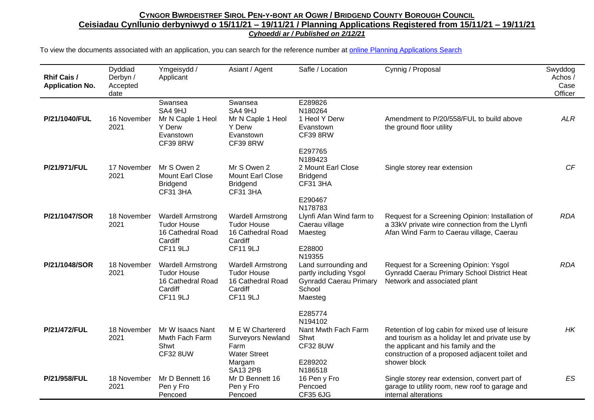| <b>Rhif Cais /</b><br><b>Application No.</b> | Dyddiad<br>Derbyn /<br>Accepted<br>date | Ymgeisydd /<br>Applicant                                                                          | Asiant / Agent                                                                                           | Safle / Location                                                                                               | Cynnig / Proposal                                                                                                                                                                                            | Swyddog<br>Achos /<br>Case<br>Officer |
|----------------------------------------------|-----------------------------------------|---------------------------------------------------------------------------------------------------|----------------------------------------------------------------------------------------------------------|----------------------------------------------------------------------------------------------------------------|--------------------------------------------------------------------------------------------------------------------------------------------------------------------------------------------------------------|---------------------------------------|
| P/21/1040/FUL                                | 16 November<br>2021                     | Swansea<br>SA4 9HJ<br>Mr N Caple 1 Heol<br>Y Derw<br>Evanstown<br><b>CF39 8RW</b>                 | Swansea<br>SA4 9HJ<br>Mr N Caple 1 Heol<br>Y Derw<br>Evanstown<br><b>CF39 8RW</b>                        | E289826<br>N180264<br>1 Heol Y Derw<br>Evanstown<br><b>CF39 8RW</b><br>E297765                                 | Amendment to P/20/558/FUL to build above<br>the ground floor utility                                                                                                                                         | <b>ALR</b>                            |
| P/21/971/FUL                                 | 17 November<br>2021                     | Mr S Owen 2<br>Mount Earl Close<br><b>Bridgend</b><br><b>CF31 3HA</b>                             | Mr S Owen 2<br>Mount Earl Close<br><b>Bridgend</b><br><b>CF31 3HA</b>                                    | N189423<br>2 Mount Earl Close<br><b>Bridgend</b><br><b>CF31 3HA</b><br>E290467                                 | Single storey rear extension                                                                                                                                                                                 | CF                                    |
| P/21/1047/SOR                                | 18 November<br>2021                     | <b>Wardell Armstrong</b><br><b>Tudor House</b><br>16 Cathedral Road<br>Cardiff<br><b>CF11 9LJ</b> | <b>Wardell Armstrong</b><br><b>Tudor House</b><br>16 Cathedral Road<br>Cardiff<br><b>CF11 9LJ</b>        | N178783<br>Llynfi Afan Wind farm to<br>Caerau village<br>Maesteg<br>E28800                                     | Request for a Screening Opinion: Installation of<br>a 33kV private wire connection from the Llynfi<br>Afan Wind Farm to Caerau village, Caerau                                                               | <b>RDA</b>                            |
| P/21/1048/SOR                                | 18 November<br>2021                     | <b>Wardell Armstrong</b><br><b>Tudor House</b><br>16 Cathedral Road<br>Cardiff<br><b>CF11 9LJ</b> | <b>Wardell Armstrong</b><br><b>Tudor House</b><br>16 Cathedral Road<br>Cardiff<br><b>CF11 9LJ</b>        | N19355<br>Land surrounding and<br>partly including Ysgol<br><b>Gynradd Caerau Primary</b><br>School<br>Maesteg | Request for a Screening Opinion: Ysgol<br>Gynradd Caerau Primary School District Heat<br>Network and associated plant                                                                                        | <b>RDA</b>                            |
| P/21/472/FUL                                 | 18 November<br>2021                     | Mr W Isaacs Nant<br>Mwth Fach Farm<br>Shwt<br><b>CF32 8UW</b>                                     | M E W Chartererd<br><b>Surveyors Newland</b><br>Farm<br><b>Water Street</b><br>Margam<br><b>SA13 2PB</b> | E285774<br>N194102<br>Nant Mwth Fach Farm<br>Shwt<br><b>CF32 8UW</b><br>E289202<br>N186518                     | Retention of log cabin for mixed use of leisure<br>and tourism as a holiday let and private use by<br>the applicant and his family and the<br>construction of a proposed adjacent toilet and<br>shower block | HK                                    |
| P/21/958/FUL                                 | 18 November<br>2021                     | Mr D Bennett 16<br>Pen y Fro<br>Pencoed                                                           | Mr D Bennett 16<br>Pen y Fro<br>Pencoed                                                                  | 16 Pen y Fro<br>Pencoed<br><b>CF35 6JG</b>                                                                     | Single storey rear extension, convert part of<br>garage to utility room, new roof to garage and<br>internal alterations                                                                                      | <b>ES</b>                             |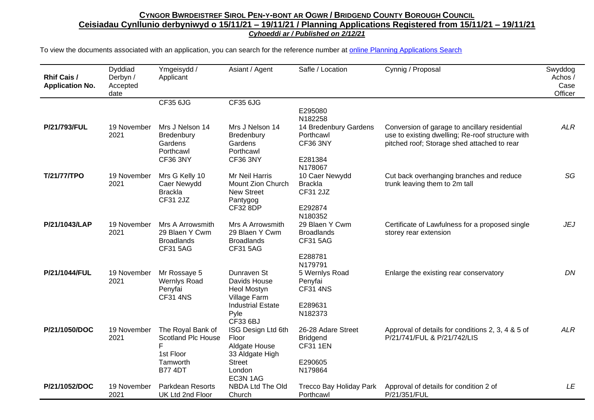| <b>Rhif Cais /</b><br><b>Application No.</b> | Dyddiad<br>Derbyn /<br>Accepted<br>date | Ymgeisydd /<br>Applicant                                                                       | Asiant / Agent                                                                                                    | Safle / Location                                                               | Cynnig / Proposal                                                                                                                                | Swyddog<br>Achos /<br>Case<br>Officer |
|----------------------------------------------|-----------------------------------------|------------------------------------------------------------------------------------------------|-------------------------------------------------------------------------------------------------------------------|--------------------------------------------------------------------------------|--------------------------------------------------------------------------------------------------------------------------------------------------|---------------------------------------|
|                                              |                                         | <b>CF35 6JG</b>                                                                                | <b>CF35 6JG</b>                                                                                                   |                                                                                |                                                                                                                                                  |                                       |
|                                              |                                         |                                                                                                |                                                                                                                   | E295080<br>N182258                                                             |                                                                                                                                                  |                                       |
| P/21/793/FUL                                 | 19 November<br>2021                     | Mrs J Nelson 14<br>Bredenbury<br>Gardens<br>Porthcawl<br><b>CF36 3NY</b>                       | Mrs J Nelson 14<br>Bredenbury<br>Gardens<br>Porthcawl<br><b>CF36 3NY</b>                                          | 14 Bredenbury Gardens<br>Porthcawl<br><b>CF36 3NY</b><br>E281384               | Conversion of garage to ancillary residential<br>use to existing dwelling; Re-roof structure with<br>pitched roof; Storage shed attached to rear | <b>ALR</b>                            |
| T/21/77/TPO                                  | 19 November<br>2021                     | Mrs G Kelly 10<br>Caer Newydd<br><b>Brackla</b><br><b>CF31 2JZ</b>                             | Mr Neil Harris<br>Mount Zion Church<br><b>New Street</b><br>Pantygog<br><b>CF32 8DP</b>                           | N178067<br>10 Caer Newydd<br><b>Brackla</b><br>CF31 2JZ<br>E292874<br>N180352  | Cut back overhanging branches and reduce<br>trunk leaving them to 2m tall                                                                        | SG                                    |
| P/21/1043/LAP                                | 19 November<br>2021                     | Mrs A Arrowsmith<br>29 Blaen Y Cwm<br><b>Broadlands</b><br><b>CF31 5AG</b>                     | Mrs A Arrowsmith<br>29 Blaen Y Cwm<br><b>Broadlands</b><br><b>CF31 5AG</b>                                        | 29 Blaen Y Cwm<br><b>Broadlands</b><br><b>CF31 5AG</b><br>E288781              | Certificate of Lawfulness for a proposed single<br>storey rear extension                                                                         | <b>JEJ</b>                            |
| P/21/1044/FUL                                | 19 November<br>2021                     | Mr Rossaye 5<br><b>Wernlys Road</b><br>Penyfai<br><b>CF31 4NS</b>                              | Dunraven St<br>Davids House<br><b>Heol Mostyn</b><br>Village Farm<br><b>Industrial Estate</b><br>Pyle<br>CF33 6BJ | N179791<br>5 Wernlys Road<br>Penyfai<br><b>CF31 4NS</b><br>E289631<br>N182373  | Enlarge the existing rear conservatory                                                                                                           | DN                                    |
| P/21/1050/DOC                                | 19 November<br>2021                     | The Royal Bank of<br><b>Scotland Plc House</b><br>F<br>1st Floor<br>Tamworth<br><b>B77 4DT</b> | ISG Design Ltd 6th<br>Floor<br>Aldgate House<br>33 Aldgate High<br><b>Street</b><br>London<br>EC3N 1AG            | 26-28 Adare Street<br><b>Bridgend</b><br><b>CF31 1EN</b><br>E290605<br>N179864 | Approval of details for conditions 2, 3, 4 & 5 of<br>P/21/741/FUL & P/21/742/LIS                                                                 | <b>ALR</b>                            |
| P/21/1052/DOC                                | 19 November<br>2021                     | <b>Parkdean Resorts</b><br>UK Ltd 2nd Floor                                                    | NBDA Ltd The Old<br>Church                                                                                        | Trecco Bay Holiday Park<br>Porthcawl                                           | Approval of details for condition 2 of<br>P/21/351/FUL                                                                                           | LE                                    |